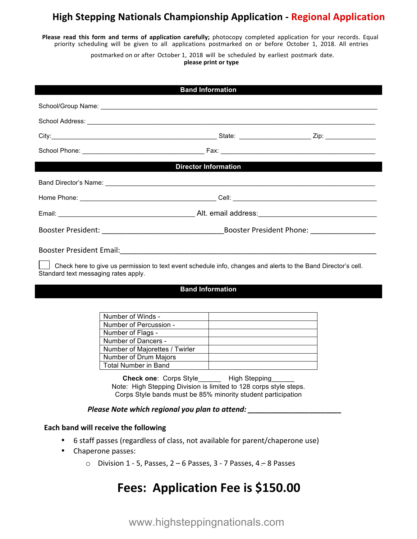# **High Stepping Nationals Championship Application - Regional Application**

**Please read this form and terms of application carefully; photocopy completed application for your records. Equal** priority scheduling will be given to all applications postmarked on or before October 1, 2018. All entries

postmarked on or after October 1, 2018 will be scheduled by earliest postmark date.

**please print or type**

| <b>Band Information</b>                                                                                                                               |                                                      |  |  |
|-------------------------------------------------------------------------------------------------------------------------------------------------------|------------------------------------------------------|--|--|
|                                                                                                                                                       |                                                      |  |  |
|                                                                                                                                                       |                                                      |  |  |
|                                                                                                                                                       |                                                      |  |  |
|                                                                                                                                                       |                                                      |  |  |
|                                                                                                                                                       |                                                      |  |  |
| <b>Director Information</b>                                                                                                                           |                                                      |  |  |
|                                                                                                                                                       |                                                      |  |  |
|                                                                                                                                                       |                                                      |  |  |
|                                                                                                                                                       |                                                      |  |  |
|                                                                                                                                                       |                                                      |  |  |
|                                                                                                                                                       |                                                      |  |  |
| Check here to give us permission to text event schedule info, changes and alerts to the Band Director's cell.<br>Standard text messaging rates apply. |                                                      |  |  |
| <b>Band Information</b>                                                                                                                               |                                                      |  |  |
|                                                                                                                                                       |                                                      |  |  |
|                                                                                                                                                       | Number of Winds -                                    |  |  |
|                                                                                                                                                       | Number of Percussion -                               |  |  |
|                                                                                                                                                       | Number of Flags -<br><u> 1999 - Jan Sterlingen (</u> |  |  |
|                                                                                                                                                       | Number of Dancers -                                  |  |  |
|                                                                                                                                                       | Number of Majorettes / Twirler                       |  |  |

**Check one**: Corps Style\_\_\_\_\_\_ High Stepping\_\_\_\_\_\_ Note: High Stepping Division is limited to 128 corps style steps. Corps Style bands must be 85% minority student participation

## *Please Note which regional you plan to attend: \_\_\_\_\_\_\_\_\_\_\_\_\_\_\_\_\_\_\_\_\_\_\_*

Number of Drum Majors Total Number in Band

## **Each band will receive the following**

- 6 staff passes (regardless of class, not available for parent/chaperone use)
- Chaperone passes:
	- $\circ$  Division 1 5, Passes, 2 6 Passes, 3 7 Passes, 4 8 Passes

# **Fees: Application Fee is \$150.00**

www.highsteppingnationals.com